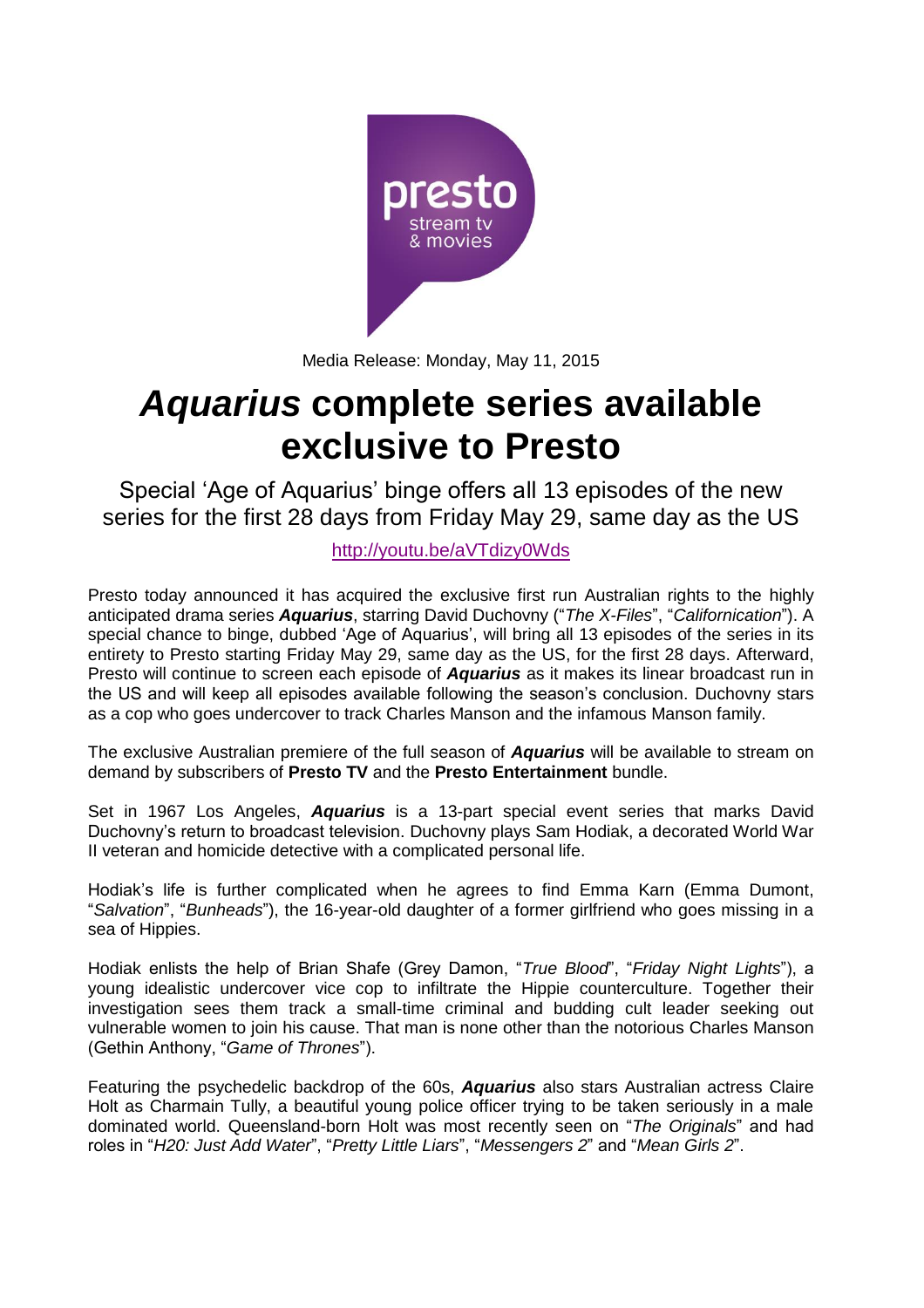

Media Release: Monday, May 11, 2015

# *Aquarius* **complete series available exclusive to Presto**

Special 'Age of Aquarius' binge offers all 13 episodes of the new series for the first 28 days from Friday May 29, same day as the US

## <http://youtu.be/aVTdizy0Wds>

Presto today announced it has acquired the exclusive first run Australian rights to the highly anticipated drama series *Aquarius*, starring David Duchovny ("*The X-Files*", "*Californication*"). A special chance to binge, dubbed 'Age of Aquarius', will bring all 13 episodes of the series in its entirety to Presto starting Friday May 29, same day as the US, for the first 28 days. Afterward, Presto will continue to screen each episode of *Aquarius* as it makes its linear broadcast run in the US and will keep all episodes available following the season's conclusion. Duchovny stars as a cop who goes undercover to track Charles Manson and the infamous Manson family.

The exclusive Australian premiere of the full season of *Aquarius* will be available to stream on demand by subscribers of **Presto TV** and the **Presto Entertainment** bundle.

Set in 1967 Los Angeles, *Aquarius* is a 13-part special event series that marks David Duchovny's return to broadcast television. Duchovny plays Sam Hodiak, a decorated World War II veteran and homicide detective with a complicated personal life.

Hodiak's life is further complicated when he agrees to find Emma Karn (Emma Dumont, "*Salvation*", "*Bunheads*"), the 16-year-old daughter of a former girlfriend who goes missing in a sea of Hippies.

Hodiak enlists the help of Brian Shafe (Grey Damon, "*True Blood*", "*Friday Night Lights*"), a young idealistic undercover vice cop to infiltrate the Hippie counterculture. Together their investigation sees them track a small-time criminal and budding cult leader seeking out vulnerable women to join his cause. That man is none other than the notorious Charles Manson (Gethin Anthony, "*Game of Thrones*").

Featuring the psychedelic backdrop of the 60s, *Aquarius* also stars Australian actress Claire Holt as Charmain Tully, a beautiful young police officer trying to be taken seriously in a male dominated world. Queensland-born Holt was most recently seen on "*The Originals*" and had roles in "*H20: Just Add Water*", "*Pretty Little Liars*", "*Messengers 2*" and "*Mean Girls 2*".